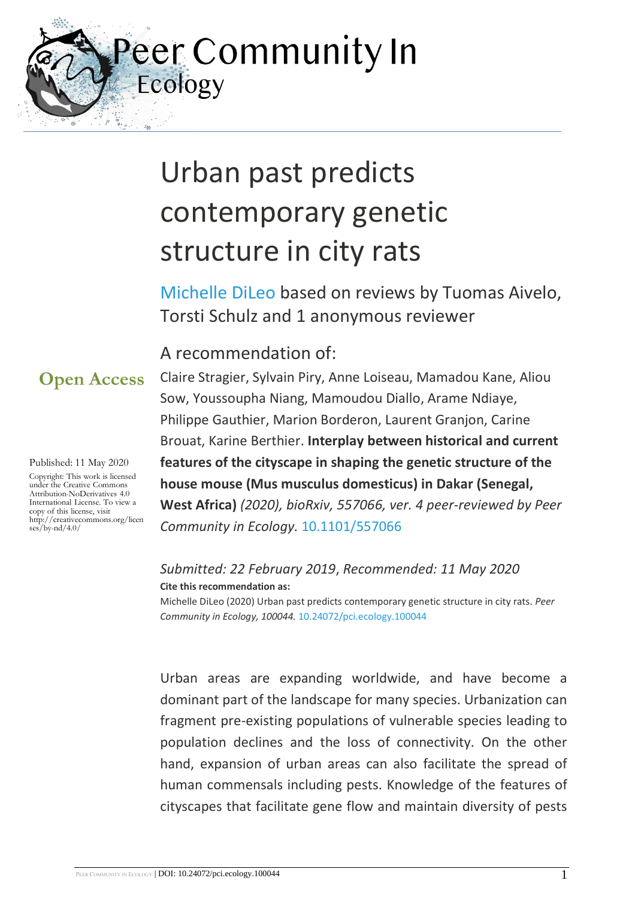eer Community In Ecology

# Urban past predicts contemporary genetic structure in city rats

[Michelle DiLeo](https://ecology.peercommunityin.org/public/viewUserCard?userId=149) based on reviews by Tuomas Aivelo, Torsti Schulz and 1 anonymous reviewer

### A recommendation of:

**Open Access**

Published: 11 May 2020

Copyright: This work is licensed under the Creative Commons Attribution-NoDerivatives 4.0 International License. To view a copy of this license, visit http://creativecommons.org/licen ses/by-nd/4.0/

Claire Stragier, Sylvain Piry, Anne Loiseau, Mamadou Kane, Aliou Sow, Youssoupha Niang, Mamoudou Diallo, Arame Ndiaye, Philippe Gauthier, Marion Borderon, Laurent Granjon, Carine Brouat, Karine Berthier. **Interplay between historical and current features of the cityscape in shaping the genetic structure of the house mouse (Mus musculus domesticus) in Dakar (Senegal, West Africa)** *(2020), bioRxiv, 557066, ver. 4 peer-reviewed by Peer Community in Ecology.* [10.1101/557066](https://doi.org/10.1101/557066)

*Submitted: 22 February 2019*, *Recommended: 11 May 2020* **Cite this recommendation as:**

Michelle DiLeo (2020) Urban past predicts contemporary genetic structure in city rats. *Peer Community in Ecology, 100044.* [10.24072/pci.ecology.100044](https://doi.org/10.24072/pci.ecology.100044)

Urban areas are expanding worldwide, and have become a dominant part of the landscape for many species. Urbanization can fragment pre-existing populations of vulnerable species leading to population declines and the loss of connectivity. On the other hand, expansion of urban areas can also facilitate the spread of human commensals including pests. Knowledge of the features of cityscapes that facilitate gene flow and maintain diversity of pests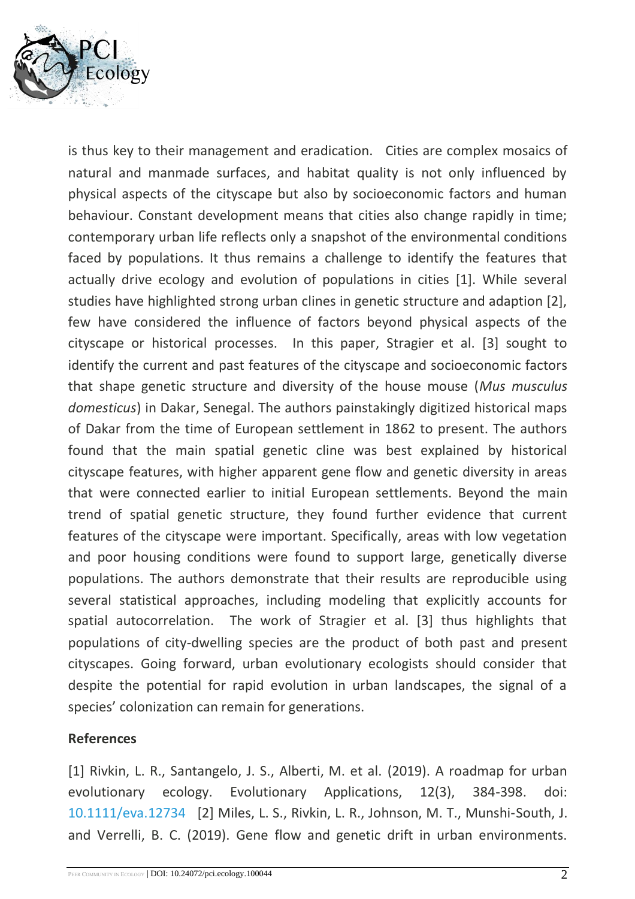

is thus key to their management and eradication. Cities are complex mosaics of natural and manmade surfaces, and habitat quality is not only influenced by physical aspects of the cityscape but also by socioeconomic factors and human behaviour. Constant development means that cities also change rapidly in time; contemporary urban life reflects only a snapshot of the environmental conditions faced by populations. It thus remains a challenge to identify the features that actually drive ecology and evolution of populations in cities [1]. While several studies have highlighted strong urban clines in genetic structure and adaption [2], few have considered the influence of factors beyond physical aspects of the cityscape or historical processes. In this paper, Stragier et al. [3] sought to identify the current and past features of the cityscape and socioeconomic factors that shape genetic structure and diversity of the house mouse (*Mus musculus domesticus*) in Dakar, Senegal. The authors painstakingly digitized historical maps of Dakar from the time of European settlement in 1862 to present. The authors found that the main spatial genetic cline was best explained by historical cityscape features, with higher apparent gene flow and genetic diversity in areas that were connected earlier to initial European settlements. Beyond the main trend of spatial genetic structure, they found further evidence that current features of the cityscape were important. Specifically, areas with low vegetation and poor housing conditions were found to support large, genetically diverse populations. The authors demonstrate that their results are reproducible using several statistical approaches, including modeling that explicitly accounts for spatial autocorrelation. The work of Stragier et al. [3] thus highlights that populations of city-dwelling species are the product of both past and present cityscapes. Going forward, urban evolutionary ecologists should consider that despite the potential for rapid evolution in urban landscapes, the signal of a species' colonization can remain for generations.

### **References**

[1] Rivkin, L. R., Santangelo, J. S., Alberti, M. et al. (2019). A roadmap for urban evolutionary ecology. Evolutionary Applications, 12(3), 384-398. doi: [10.1111/eva.12734](https://dx.doi.org/10.1111/eva.12734) [2] Miles, L. S., Rivkin, L. R., Johnson, M. T., Munshi‐South, J. and Verrelli, B. C. (2019). Gene flow and genetic drift in urban environments.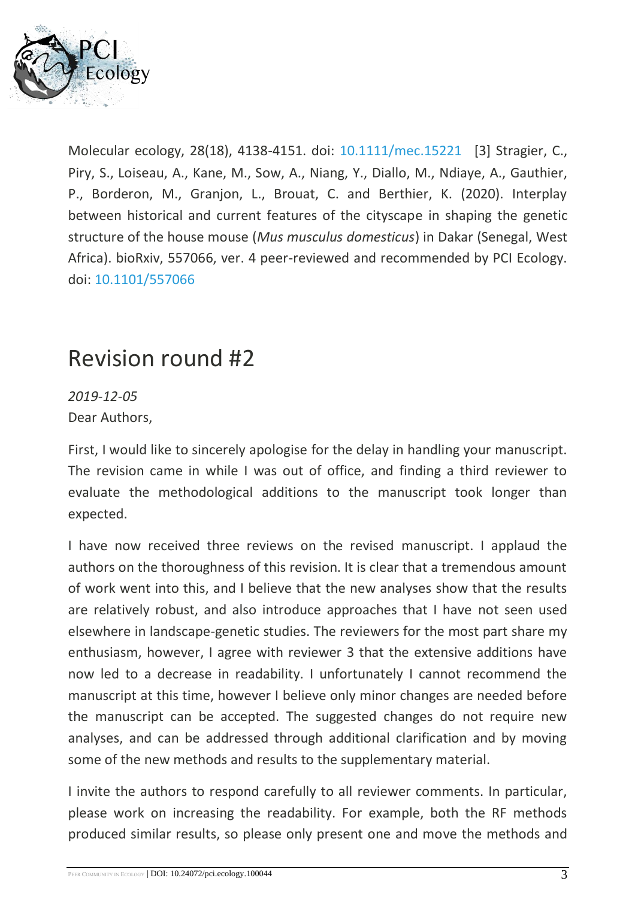

Molecular ecology, 28(18), 4138-4151. doi: [10.1111/mec.15221](https://dx.doi.org/10.1111/mec.15221) [3] Stragier, C., Piry, S., Loiseau, A., Kane, M., Sow, A., Niang, Y., Diallo, M., Ndiaye, A., Gauthier, P., Borderon, M., Granjon, L., Brouat, C. and Berthier, K. (2020). Interplay between historical and current features of the cityscape in shaping the genetic structure of the house mouse (*Mus musculus domesticus*) in Dakar (Senegal, West Africa). bioRxiv, 557066, ver. 4 peer-reviewed and recommended by PCI Ecology. doi: [10.1101/557066](https://dx.doi.org/10.1101/557066)

# Revision round #2

*2019-12-05* Dear Authors,

First, I would like to sincerely apologise for the delay in handling your manuscript. The revision came in while I was out of office, and finding a third reviewer to evaluate the methodological additions to the manuscript took longer than expected.

I have now received three reviews on the revised manuscript. I applaud the authors on the thoroughness of this revision. It is clear that a tremendous amount of work went into this, and I believe that the new analyses show that the results are relatively robust, and also introduce approaches that I have not seen used elsewhere in landscape-genetic studies. The reviewers for the most part share my enthusiasm, however, I agree with reviewer 3 that the extensive additions have now led to a decrease in readability. I unfortunately I cannot recommend the manuscript at this time, however I believe only minor changes are needed before the manuscript can be accepted. The suggested changes do not require new analyses, and can be addressed through additional clarification and by moving some of the new methods and results to the supplementary material.

I invite the authors to respond carefully to all reviewer comments. In particular, please work on increasing the readability. For example, both the RF methods produced similar results, so please only present one and move the methods and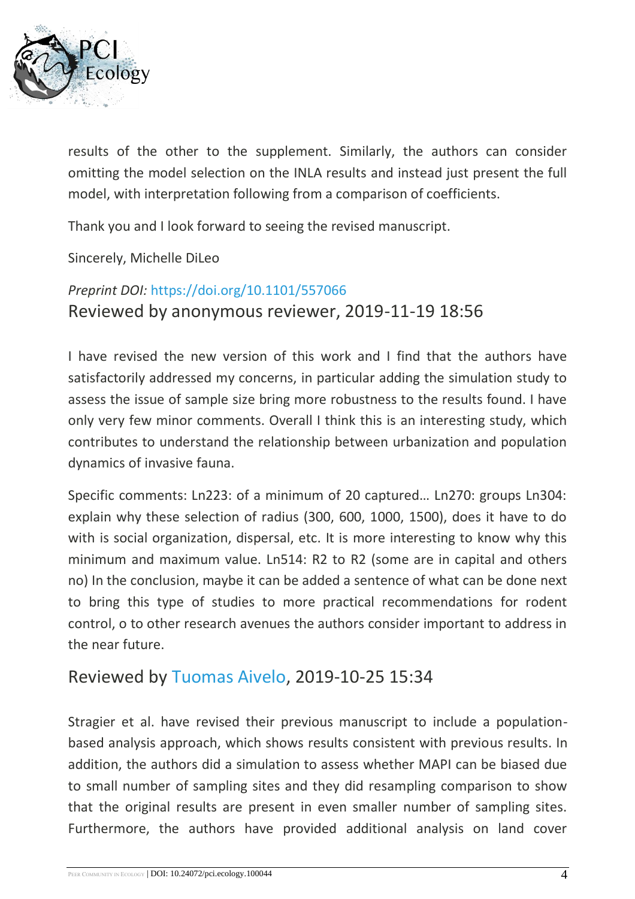

results of the other to the supplement. Similarly, the authors can consider omitting the model selection on the INLA results and instead just present the full model, with interpretation following from a comparison of coefficients.

Thank you and I look forward to seeing the revised manuscript.

Sincerely, Michelle DiLeo

### *Preprint DOI:* <https://doi.org/10.1101/557066> Reviewed by anonymous reviewer, 2019-11-19 18:56

I have revised the new version of this work and I find that the authors have satisfactorily addressed my concerns, in particular adding the simulation study to assess the issue of sample size bring more robustness to the results found. I have only very few minor comments. Overall I think this is an interesting study, which contributes to understand the relationship between urbanization and population dynamics of invasive fauna.

Specific comments: Ln223: of a minimum of 20 captured… Ln270: groups Ln304: explain why these selection of radius (300, 600, 1000, 1500), does it have to do with is social organization, dispersal, etc. It is more interesting to know why this minimum and maximum value. Ln514: R2 to R2 (some are in capital and others no) In the conclusion, maybe it can be added a sentence of what can be done next to bring this type of studies to more practical recommendations for rodent control, o to other research avenues the authors consider important to address in the near future.

### Reviewed by [Tuomas Aivelo,](https://ecology.peercommunityin.org/public/viewUserCard?userId=799) 2019-10-25 15:34

Stragier et al. have revised their previous manuscript to include a populationbased analysis approach, which shows results consistent with previous results. In addition, the authors did a simulation to assess whether MAPI can be biased due to small number of sampling sites and they did resampling comparison to show that the original results are present in even smaller number of sampling sites. Furthermore, the authors have provided additional analysis on land cover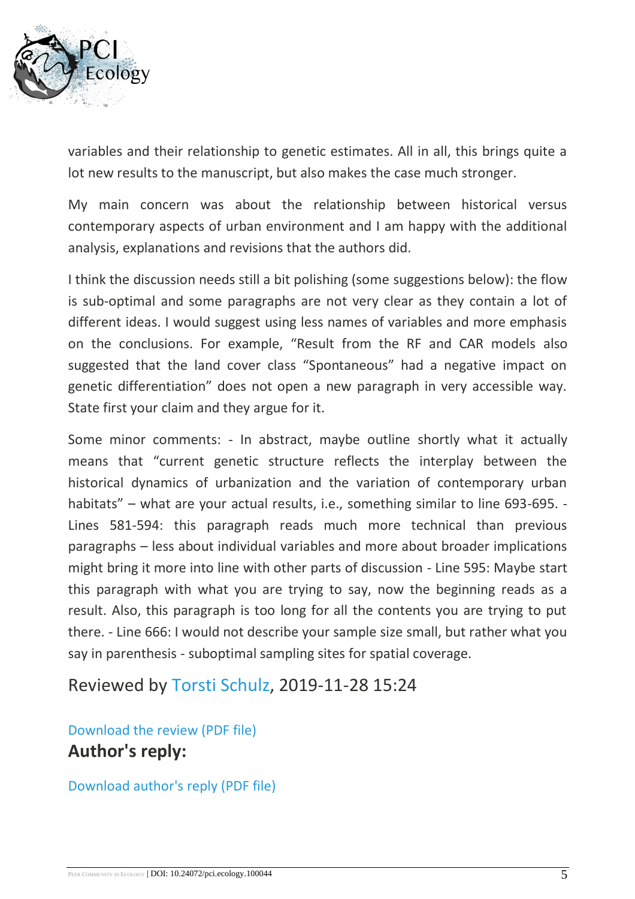

variables and their relationship to genetic estimates. All in all, this brings quite a lot new results to the manuscript, but also makes the case much stronger.

My main concern was about the relationship between historical versus contemporary aspects of urban environment and I am happy with the additional analysis, explanations and revisions that the authors did.

I think the discussion needs still a bit polishing (some suggestions below): the flow is sub-optimal and some paragraphs are not very clear as they contain a lot of different ideas. I would suggest using less names of variables and more emphasis on the conclusions. For example, "Result from the RF and CAR models also suggested that the land cover class "Spontaneous" had a negative impact on genetic differentiation" does not open a new paragraph in very accessible way. State first your claim and they argue for it.

Some minor comments: - In abstract, maybe outline shortly what it actually means that "current genetic structure reflects the interplay between the historical dynamics of urbanization and the variation of contemporary urban habitats" – what are your actual results, i.e., something similar to line 693-695. - Lines 581-594: this paragraph reads much more technical than previous paragraphs – less about individual variables and more about broader implications might bring it more into line with other parts of discussion - Line 595: Maybe start this paragraph with what you are trying to say, now the beginning reads as a result. Also, this paragraph is too long for all the contents you are trying to put there. - Line 666: I would not describe your sample size small, but rather what you say in parenthesis - suboptimal sampling sites for spatial coverage.

Reviewed by [Torsti Schulz,](https://ecology.peercommunityin.org/public/viewUserCard?userId=1088) 2019-11-28 15:24

[Download the review \(PDF file\)](https://ecology.peercommunityin.org/download/t_reviews.review_pdf.a42cbd8a3cac9b66.7265766965772e706466.pdf) **Author's reply:**

[Download author's reply \(PDF file\)](https://ecology.peercommunityin.org/download/t_recommendations.reply_pdf.a2b85bcd80934ec7.53747261676965725f5043495f726573706f6e7365735f7265766973656476657273696f6e322e706466.pdf)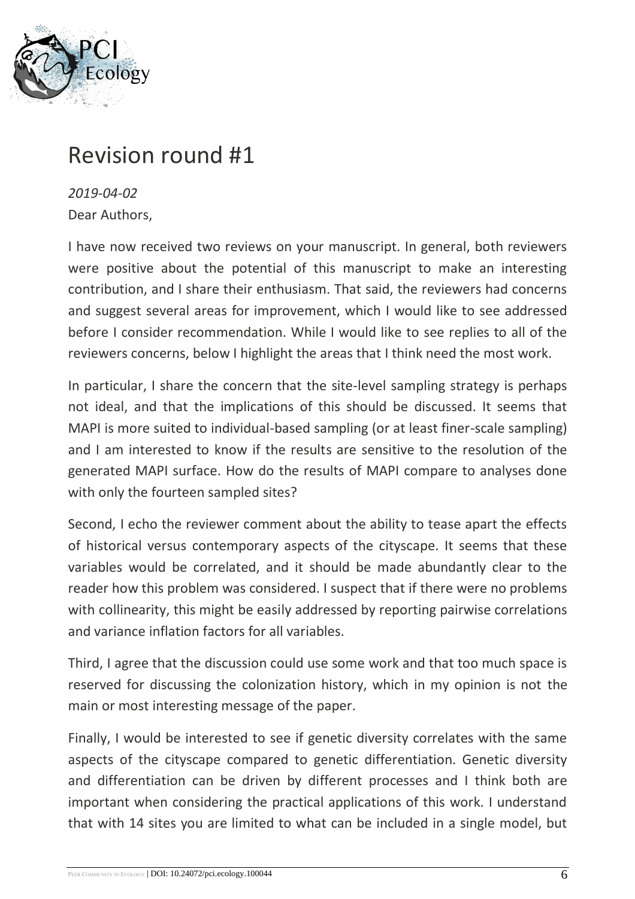

# Revision round #1

*2019-04-02* Dear Authors,

I have now received two reviews on your manuscript. In general, both reviewers were positive about the potential of this manuscript to make an interesting contribution, and I share their enthusiasm. That said, the reviewers had concerns and suggest several areas for improvement, which I would like to see addressed before I consider recommendation. While I would like to see replies to all of the reviewers concerns, below I highlight the areas that I think need the most work.

In particular, I share the concern that the site-level sampling strategy is perhaps not ideal, and that the implications of this should be discussed. It seems that MAPI is more suited to individual-based sampling (or at least finer-scale sampling) and I am interested to know if the results are sensitive to the resolution of the generated MAPI surface. How do the results of MAPI compare to analyses done with only the fourteen sampled sites?

Second, I echo the reviewer comment about the ability to tease apart the effects of historical versus contemporary aspects of the cityscape. It seems that these variables would be correlated, and it should be made abundantly clear to the reader how this problem was considered. I suspect that if there were no problems with collinearity, this might be easily addressed by reporting pairwise correlations and variance inflation factors for all variables.

Third, I agree that the discussion could use some work and that too much space is reserved for discussing the colonization history, which in my opinion is not the main or most interesting message of the paper.

Finally, I would be interested to see if genetic diversity correlates with the same aspects of the cityscape compared to genetic differentiation. Genetic diversity and differentiation can be driven by different processes and I think both are important when considering the practical applications of this work. I understand that with 14 sites you are limited to what can be included in a single model, but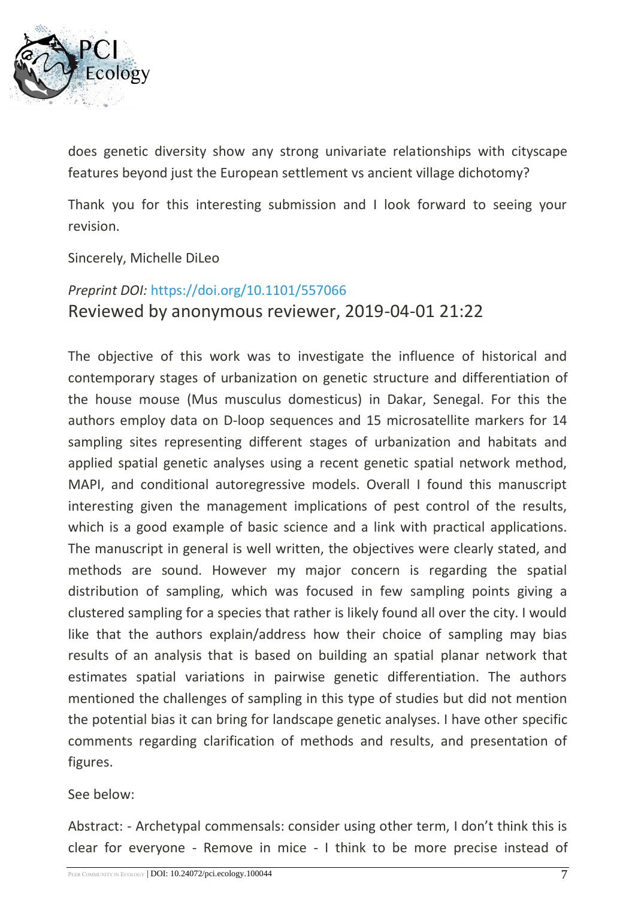

does genetic diversity show any strong univariate relationships with cityscape features beyond just the European settlement vs ancient village dichotomy?

Thank you for this interesting submission and I look forward to seeing your revision.

### Sincerely, Michelle DiLeo

### *Preprint DOI:* <https://doi.org/10.1101/557066> Reviewed by anonymous reviewer, 2019-04-01 21:22

The objective of this work was to investigate the influence of historical and contemporary stages of urbanization on genetic structure and differentiation of the house mouse (Mus musculus domesticus) in Dakar, Senegal. For this the authors employ data on D-loop sequences and 15 microsatellite markers for 14 sampling sites representing different stages of urbanization and habitats and applied spatial genetic analyses using a recent genetic spatial network method, MAPI, and conditional autoregressive models. Overall I found this manuscript interesting given the management implications of pest control of the results, which is a good example of basic science and a link with practical applications. The manuscript in general is well written, the objectives were clearly stated, and methods are sound. However my major concern is regarding the spatial distribution of sampling, which was focused in few sampling points giving a clustered sampling for a species that rather is likely found all over the city. I would like that the authors explain/address how their choice of sampling may bias results of an analysis that is based on building an spatial planar network that estimates spatial variations in pairwise genetic differentiation. The authors mentioned the challenges of sampling in this type of studies but did not mention the potential bias it can bring for landscape genetic analyses. I have other specific comments regarding clarification of methods and results, and presentation of figures.

### See below:

Abstract: - Archetypal commensals: consider using other term, I don't think this is clear for everyone - Remove in mice - I think to be more precise instead of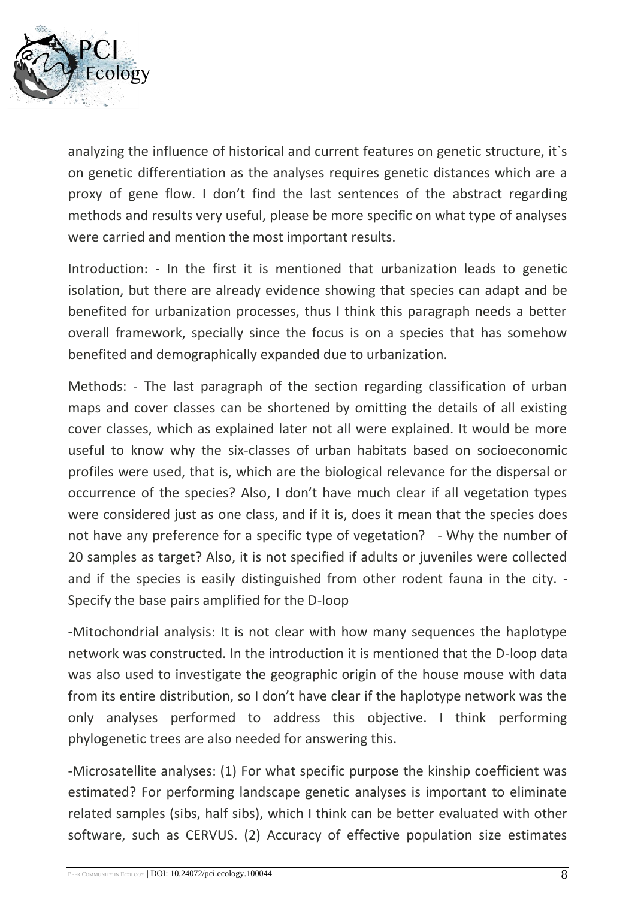

analyzing the influence of historical and current features on genetic structure, it`s on genetic differentiation as the analyses requires genetic distances which are a proxy of gene flow. I don't find the last sentences of the abstract regarding methods and results very useful, please be more specific on what type of analyses were carried and mention the most important results.

Introduction: - In the first it is mentioned that urbanization leads to genetic isolation, but there are already evidence showing that species can adapt and be benefited for urbanization processes, thus I think this paragraph needs a better overall framework, specially since the focus is on a species that has somehow benefited and demographically expanded due to urbanization.

Methods: - The last paragraph of the section regarding classification of urban maps and cover classes can be shortened by omitting the details of all existing cover classes, which as explained later not all were explained. It would be more useful to know why the six-classes of urban habitats based on socioeconomic profiles were used, that is, which are the biological relevance for the dispersal or occurrence of the species? Also, I don't have much clear if all vegetation types were considered just as one class, and if it is, does it mean that the species does not have any preference for a specific type of vegetation? - Why the number of 20 samples as target? Also, it is not specified if adults or juveniles were collected and if the species is easily distinguished from other rodent fauna in the city. - Specify the base pairs amplified for the D-loop

-Mitochondrial analysis: It is not clear with how many sequences the haplotype network was constructed. In the introduction it is mentioned that the D-loop data was also used to investigate the geographic origin of the house mouse with data from its entire distribution, so I don't have clear if the haplotype network was the only analyses performed to address this objective. I think performing phylogenetic trees are also needed for answering this.

-Microsatellite analyses: (1) For what specific purpose the kinship coefficient was estimated? For performing landscape genetic analyses is important to eliminate related samples (sibs, half sibs), which I think can be better evaluated with other software, such as CERVUS. (2) Accuracy of effective population size estimates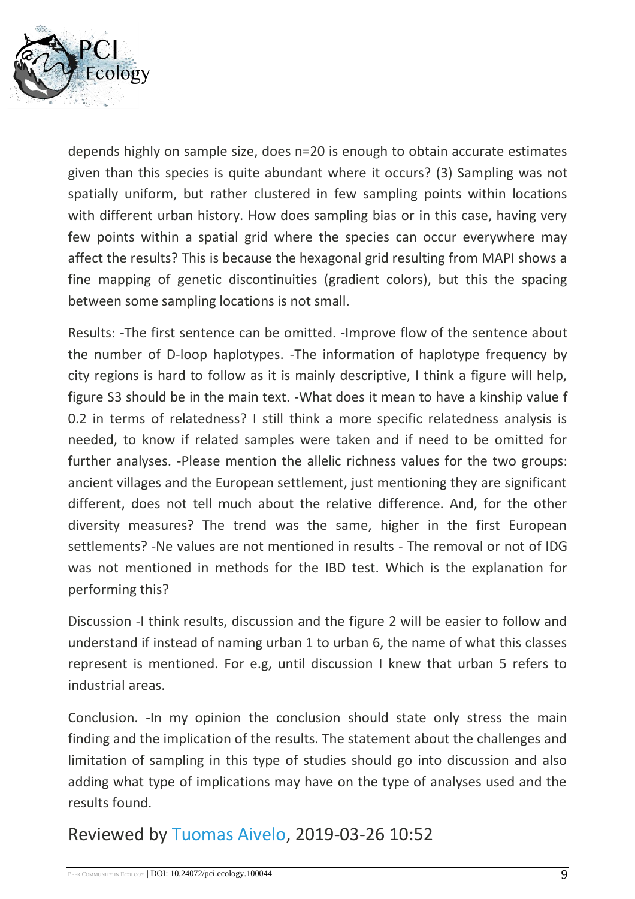

depends highly on sample size, does n=20 is enough to obtain accurate estimates given than this species is quite abundant where it occurs? (3) Sampling was not spatially uniform, but rather clustered in few sampling points within locations with different urban history. How does sampling bias or in this case, having very few points within a spatial grid where the species can occur everywhere may affect the results? This is because the hexagonal grid resulting from MAPI shows a fine mapping of genetic discontinuities (gradient colors), but this the spacing between some sampling locations is not small.

Results: -The first sentence can be omitted. -Improve flow of the sentence about the number of D-loop haplotypes. -The information of haplotype frequency by city regions is hard to follow as it is mainly descriptive, I think a figure will help, figure S3 should be in the main text. -What does it mean to have a kinship value f 0.2 in terms of relatedness? I still think a more specific relatedness analysis is needed, to know if related samples were taken and if need to be omitted for further analyses. -Please mention the allelic richness values for the two groups: ancient villages and the European settlement, just mentioning they are significant different, does not tell much about the relative difference. And, for the other diversity measures? The trend was the same, higher in the first European settlements? -Ne values are not mentioned in results - The removal or not of IDG was not mentioned in methods for the IBD test. Which is the explanation for performing this?

Discussion -I think results, discussion and the figure 2 will be easier to follow and understand if instead of naming urban 1 to urban 6, the name of what this classes represent is mentioned. For e.g, until discussion I knew that urban 5 refers to industrial areas.

Conclusion. -In my opinion the conclusion should state only stress the main finding and the implication of the results. The statement about the challenges and limitation of sampling in this type of studies should go into discussion and also adding what type of implications may have on the type of analyses used and the results found.

### Reviewed by [Tuomas Aivelo,](https://ecology.peercommunityin.org/public/viewUserCard?userId=799) 2019-03-26 10:52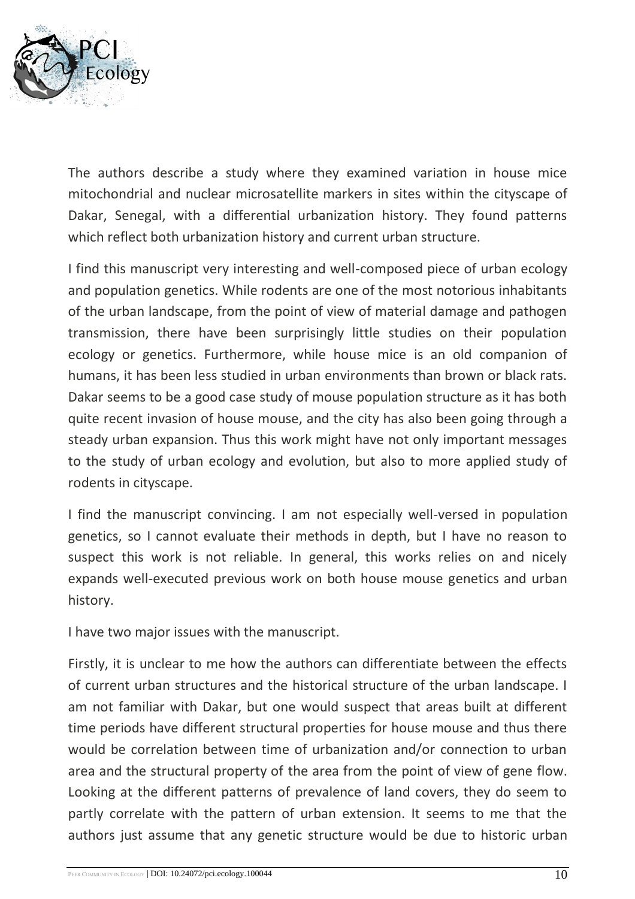

The authors describe a study where they examined variation in house mice mitochondrial and nuclear microsatellite markers in sites within the cityscape of Dakar, Senegal, with a differential urbanization history. They found patterns which reflect both urbanization history and current urban structure.

I find this manuscript very interesting and well-composed piece of urban ecology and population genetics. While rodents are one of the most notorious inhabitants of the urban landscape, from the point of view of material damage and pathogen transmission, there have been surprisingly little studies on their population ecology or genetics. Furthermore, while house mice is an old companion of humans, it has been less studied in urban environments than brown or black rats. Dakar seems to be a good case study of mouse population structure as it has both quite recent invasion of house mouse, and the city has also been going through a steady urban expansion. Thus this work might have not only important messages to the study of urban ecology and evolution, but also to more applied study of rodents in cityscape.

I find the manuscript convincing. I am not especially well-versed in population genetics, so I cannot evaluate their methods in depth, but I have no reason to suspect this work is not reliable. In general, this works relies on and nicely expands well-executed previous work on both house mouse genetics and urban history.

I have two major issues with the manuscript.

Firstly, it is unclear to me how the authors can differentiate between the effects of current urban structures and the historical structure of the urban landscape. I am not familiar with Dakar, but one would suspect that areas built at different time periods have different structural properties for house mouse and thus there would be correlation between time of urbanization and/or connection to urban area and the structural property of the area from the point of view of gene flow. Looking at the different patterns of prevalence of land covers, they do seem to partly correlate with the pattern of urban extension. It seems to me that the authors just assume that any genetic structure would be due to historic urban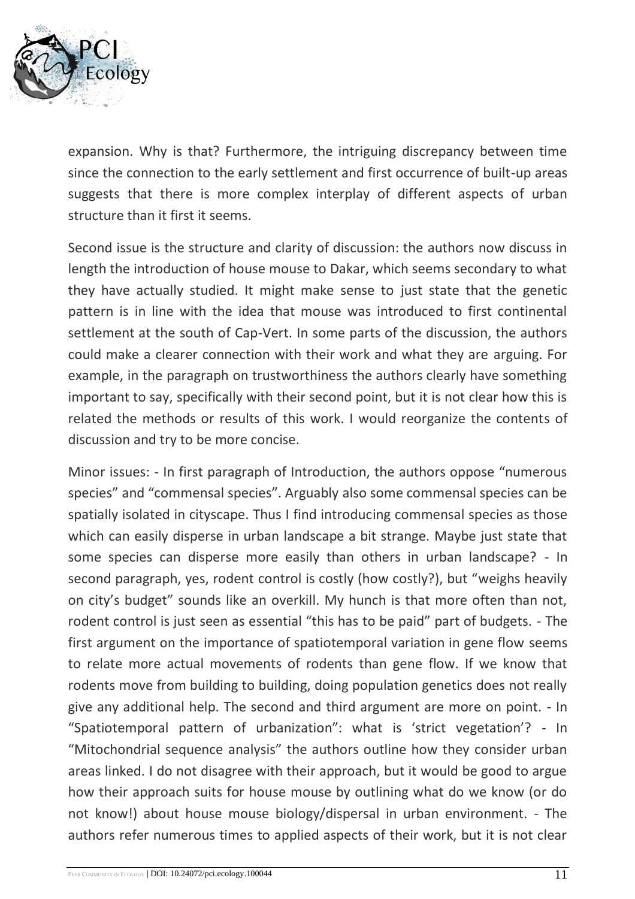

expansion. Why is that? Furthermore, the intriguing discrepancy between time since the connection to the early settlement and first occurrence of built-up areas suggests that there is more complex interplay of different aspects of urban structure than it first it seems.

Second issue is the structure and clarity of discussion: the authors now discuss in length the introduction of house mouse to Dakar, which seems secondary to what they have actually studied. It might make sense to just state that the genetic pattern is in line with the idea that mouse was introduced to first continental settlement at the south of Cap-Vert. In some parts of the discussion, the authors could make a clearer connection with their work and what they are arguing. For example, in the paragraph on trustworthiness the authors clearly have something important to say, specifically with their second point, but it is not clear how this is related the methods or results of this work. I would reorganize the contents of discussion and try to be more concise.

Minor issues: - In first paragraph of Introduction, the authors oppose "numerous species" and "commensal species". Arguably also some commensal species can be spatially isolated in cityscape. Thus I find introducing commensal species as those which can easily disperse in urban landscape a bit strange. Maybe just state that some species can disperse more easily than others in urban landscape? - In second paragraph, yes, rodent control is costly (how costly?), but "weighs heavily on city's budget" sounds like an overkill. My hunch is that more often than not, rodent control is just seen as essential "this has to be paid" part of budgets. - The first argument on the importance of spatiotemporal variation in gene flow seems to relate more actual movements of rodents than gene flow. If we know that rodents move from building to building, doing population genetics does not really give any additional help. The second and third argument are more on point. - In "Spatiotemporal pattern of urbanization": what is 'strict vegetation'? - In "Mitochondrial sequence analysis" the authors outline how they consider urban areas linked. I do not disagree with their approach, but it would be good to argue how their approach suits for house mouse by outlining what do we know (or do not know!) about house mouse biology/dispersal in urban environment. - The authors refer numerous times to applied aspects of their work, but it is not clear